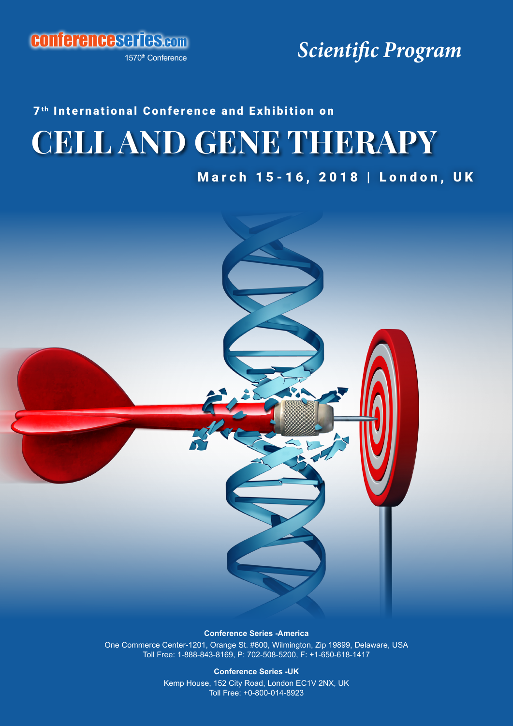conferenceseries.com

1570th Conference

*Scientific Program*

# **CELL AND GENE THERAPY** 7<sup>th</sup> International Conference and Exhibition on

March 15-16, 2018 | London, UK



**Conference Series -America**

One Commerce Center-1201, Orange St. #600, Wilmington, Zip 19899, Delaware, USA Toll Free: 1-888-843-8169, P: 702-508-5200, F: +1-650-618-1417

> **Conference Series -UK** Kemp House, 152 City Road, London EC1V 2NX, UK Toll Free: +0-800-014-8923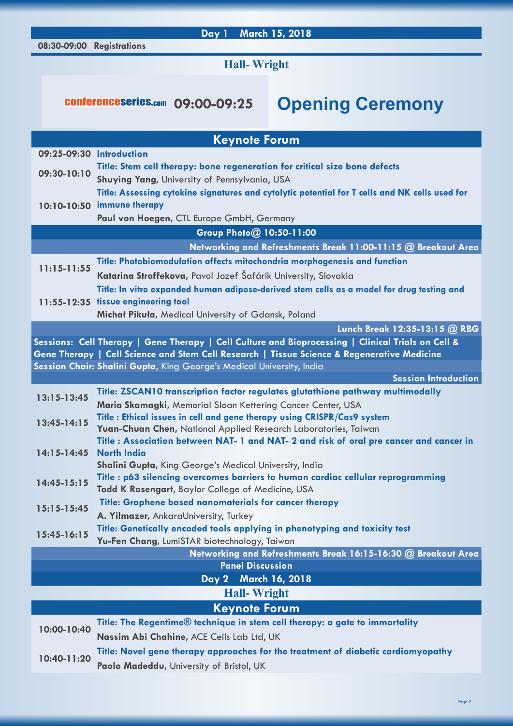#### **08:30-09:00 Registrations Day 1 March 15, 2018**

### **Hall- Wright**

## conferenceseries.com **09:00-09:25 Opening Ceremony**

| <b>Keynote Forum</b>                                                  |                                                                                                                                         |  |
|-----------------------------------------------------------------------|-----------------------------------------------------------------------------------------------------------------------------------------|--|
| 09:25-09:30 Introduction                                              |                                                                                                                                         |  |
| 09:30-10:10                                                           | Title: Stem cell therapy: bone regeneration for critical size bone defects                                                              |  |
|                                                                       | Shuying Yang, University of Pennsylvania, USA                                                                                           |  |
|                                                                       | Title: Assessing cytokine signatures and cytolytic potential for T cells and NK cells used for                                          |  |
|                                                                       | 10:10-10:50 immune therapy                                                                                                              |  |
|                                                                       | Paul von Hoegen, CTL Europe GmbH, Germany                                                                                               |  |
| Group Photo@ 10:50-11:00                                              |                                                                                                                                         |  |
| Networking and Refreshments Break 11:00-11:15 @ Breakout Area         |                                                                                                                                         |  |
| $11:15 - 11:55$                                                       | Title: Photobiomodulation affects mitochondria morphogenesis and function                                                               |  |
|                                                                       | Katarina Stroffekova, Pavol Jozef Šafárik University, Slovakia                                                                          |  |
|                                                                       | Title: In vitro expanded human adipose-derived stem cells as a model for drug testing and                                               |  |
|                                                                       | 11:55-12:35 tissue engineering tool                                                                                                     |  |
|                                                                       | Michał Pikuła, Medical University of Gdansk, Poland                                                                                     |  |
| Lunch Break 12:35-13:15 @ RBG                                         |                                                                                                                                         |  |
|                                                                       | Sessions: Cell Therapy   Gene Therapy   Cell Culture and Bioprocessing   Clinical Trials on Cell &                                      |  |
|                                                                       | Gene Therapy   Cell Science and Stem Cell Research   Tissue Science & Regenerative Medicine                                             |  |
| Session Chair: Shalini Gupta, King George's Medical University, India |                                                                                                                                         |  |
| <b>Session Introduction</b>                                           |                                                                                                                                         |  |
| 13:15-13:45                                                           | Title: ZSCAN10 transcription factor regulates glutathione pathway multimodally                                                          |  |
| 13:45-14:15                                                           | Maria Skamagki, Memorial Sloan Kettering Cancer Center, USA<br>Title : Ethical issues in cell and gene therapy using CRISPR/Cas9 system |  |
|                                                                       | Yuan-Chuan Chen, National Applied Research Laboratories, Taiwan                                                                         |  |
|                                                                       | Title: Association between NAT- 1 and NAT- 2 and risk of oral pre cancer and cancer in                                                  |  |
| 14:15-14:45                                                           | <b>North India</b>                                                                                                                      |  |
|                                                                       | Shalini Gupta, King George's Medical University, India                                                                                  |  |
| 14:45-15:15                                                           | Title: p63 silencing overcomes barriers to human cardiac cellular reprogramming                                                         |  |
|                                                                       | Todd K Rosengart, Baylor College of Medicine, USA                                                                                       |  |
| $15:15-15:45$                                                         | Title: Graphene based nanomaterials for cancer therapy                                                                                  |  |
|                                                                       | A. Yilmazer, AnkaraUniversity, Turkey                                                                                                   |  |
| $15:45-16:15$                                                         | Title: Genetically encoded tools applying in phenotyping and toxicity test                                                              |  |
|                                                                       | Yu-Fen Chang, LumiSTAR biotechnology, Taiwan                                                                                            |  |
|                                                                       | Networking and Refreshments Break 16:15-16:30 @ Breakout Area                                                                           |  |
|                                                                       | <b>Panel Discussion</b>                                                                                                                 |  |
|                                                                       | March 16, 2018<br>Day 2                                                                                                                 |  |
| <b>Hall-Wright</b>                                                    |                                                                                                                                         |  |
|                                                                       | <b>Keynote Forum</b>                                                                                                                    |  |
| 10:00-10:40                                                           | Title: The Regentime® technique in stem cell therapy: a gate to immortality                                                             |  |
|                                                                       | Nassim Abi Chahine, ACE Cells Lab Ltd, UK                                                                                               |  |
| 10:40-11:20                                                           | Title: Novel gene therapy approaches for the treatment of diabetic cardiomyopathy                                                       |  |
|                                                                       | Paolo Madeddu, University of Bristol, UK                                                                                                |  |